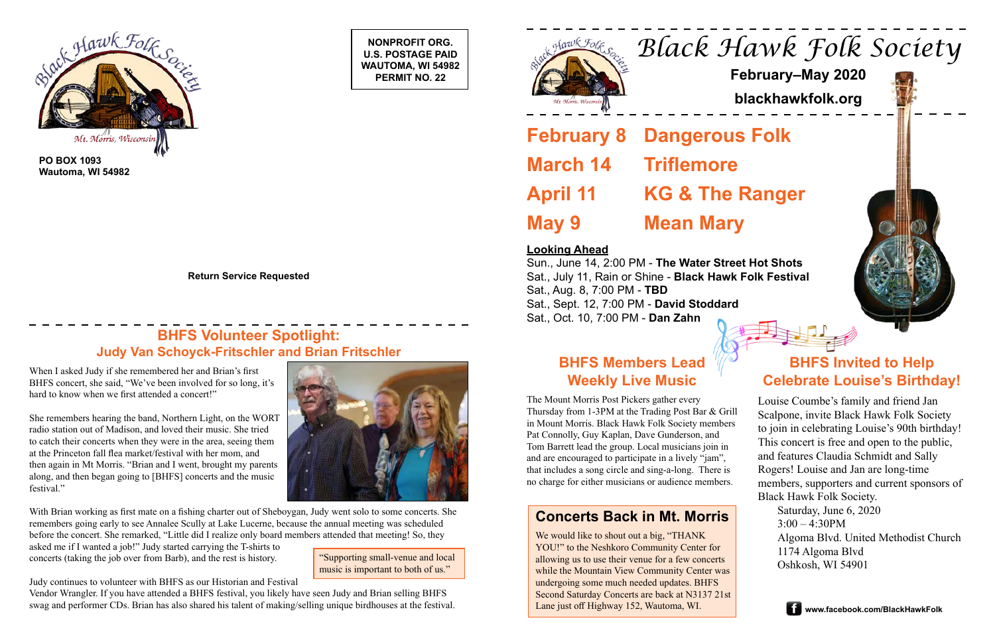**NONPROFIT ORG. U.S. POSTAGE PAID WAUTOMA, WI 54982 PERMIT NO. 22**





**PO BOX 1093 Wautoma, WI 54982**

**Return Service Requested**

# *Black Hawk Folk Society*

# **February–May 2020**

**blackhawkfolk.org**

**February 8 Dangerous Folk March 14 Triflemore April 11 KG & The Ranger May 9 Mean Mary**

# **BHFS Volunteer Spotlight: Judy Van Schoyck-Fritschler and Brian Fritschler <b>BHFS Members Lead**

## **Looking Ahead**

Sun., June 14, 2:00 PM - **The Water Street Hot Shots** Sat., July 11, Rain or Shine - **Black Hawk Folk Festival** Sat., Aug. 8, 7:00 PM - **TBD** Sat., Sept. 12, 7:00 PM - **David Stoddard** Sat., Oct. 10, 7:00 PM - **Dan Zahn**



# **Weekly Live Music**

The Mount Morris Post Pickers gather every Thursday from 1-3PM at the Trading Post Bar & Grill in Mount Morris. Black Hawk Folk Society members Pat Connolly, Guy Kaplan, Dave Gunderson, and Tom Barrett lead the group. Local musicians join in and are encouraged to participate in a lively "jam", that includes a song circle and sing-a-long. There is no charge for either musicians or audience members.

When I asked Judy if she remembered her and Brian's first BHFS concert, she said, "We've been involved for so long, it's hard to know when we first attended a concert!"

She remembers hearing the band, Northern Light, on the WORT radio station out of Madison, and loved their music. She tried to catch their concerts when they were in the area, seeing them at the Princeton fall flea market/festival with her mom, and then again in Mt Morris. "Brian and I went, brought my parents along, and then began going to [BHFS] concerts and the music festival."



"Supporting small-venue and local allowing us to use their venue for a few concerts<br>
music is important to both of us "<br>
While the Meuntain View Community Center wes We would like to shout out a big, "THANK YOU!" to the Neshkoro Community Center for while the Mountain View Community Center was undergoing some much needed updates. BHFS Second Saturday Concerts are back at N3137 21st Lane just off Highway 152, Wautoma, WI.

With Brian working as first mate on a fishing charter out of Sheboygan, Judy went solo to some concerts. She remembers going early to see Annalee Scully at Lake Lucerne, because the annual meeting was scheduled before the concert. She remarked, "Little did I realize only board members attended that meeting! So, they

asked me if I wanted a job!" Judy started carrying the T-shirts to concerts (taking the job over from Barb), and the rest is history.

Judy continues to volunteer with BHFS as our Historian and Festival

Vendor Wrangler. If you have attended a BHFS festival, you likely have seen Judy and Brian selling BHFS swag and performer CDs. Brian has also shared his talent of making/selling unique birdhouses at the festival.

# **BHFS Invited to Help Celebrate Louise's Birthday!**

Louise Coumbe's family and friend Jan Scalpone, invite Black Hawk Folk Society to join in celebrating Louise's 90th birthday! This concert is free and open to the public, and features Claudia Schmidt and Sally Rogers! Louise and Jan are long-time members, supporters and current sponsors of Black Hawk Folk Society.

Saturday, June 6, 2020  $3:00 - 4:30$ PM Algoma Blvd. United Methodist Church 1174 Algoma Blvd



music is important to both of us."

## **Concerts Back in Mt. Morris**